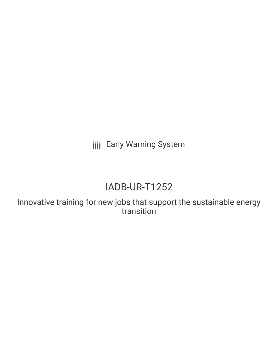**III** Early Warning System

# IADB-UR-T1252

Innovative training for new jobs that support the sustainable energy transition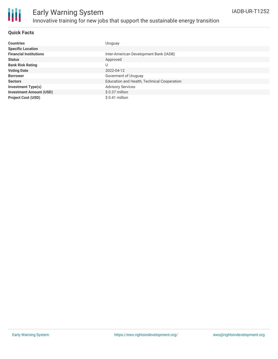

# Early Warning System Innovative training for new jobs that support the sustainable energy transition

### **Quick Facts**

| <b>Countries</b>               | Uruguay                                     |
|--------------------------------|---------------------------------------------|
| <b>Specific Location</b>       |                                             |
| <b>Financial Institutions</b>  | Inter-American Development Bank (IADB)      |
| <b>Status</b>                  | Approved                                    |
| <b>Bank Risk Rating</b>        | U                                           |
| <b>Voting Date</b>             | 2022-04-12                                  |
| <b>Borrower</b>                | Goverment of Uruguay                        |
| <b>Sectors</b>                 | Education and Health, Technical Cooperation |
| <b>Investment Type(s)</b>      | <b>Advisory Services</b>                    |
| <b>Investment Amount (USD)</b> | $$0.37$ million                             |
| <b>Project Cost (USD)</b>      | $$0.41$ million                             |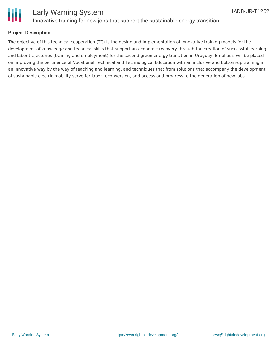



### **Project Description**

The objective of this technical cooperation (TC) is the design and implementation of innovative training models for the development of knowledge and technical skills that support an economic recovery through the creation of successful learning and labor trajectories (training and employment) for the second green energy transition in Uruguay. Emphasis will be placed on improving the pertinence of Vocational Technical and Technological Education with an inclusive and bottom-up training in an innovative way by the way of teaching and learning, and techniques that from solutions that accompany the development of sustainable electric mobility serve for labor reconversion, and access and progress to the generation of new jobs.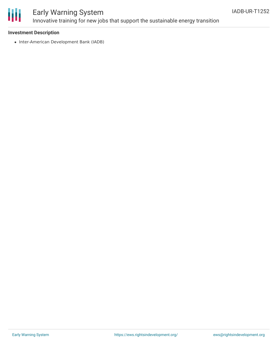

# Early Warning System Innovative training for new jobs that support the sustainable energy transition

### **Investment Description**

• Inter-American Development Bank (IADB)